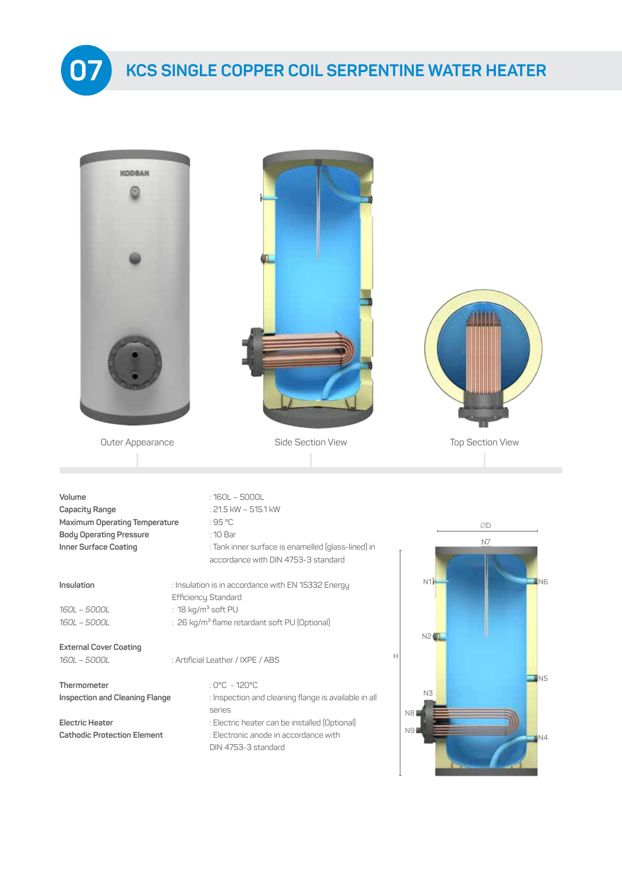

| <b>KODBAN</b>                                                                                                        |                                                                                                                                                                                                  |                                        |
|----------------------------------------------------------------------------------------------------------------------|--------------------------------------------------------------------------------------------------------------------------------------------------------------------------------------------------|----------------------------------------|
| Outer Appearance                                                                                                     | Side Section View                                                                                                                                                                                | <b>Top Section View</b>                |
|                                                                                                                      |                                                                                                                                                                                                  |                                        |
| Volume<br>Capacity Range<br>Maximum Operating Temperature<br><b>Body Operating Pressure</b><br>Inner Surface Coating | $:160L - 5000L$<br>: 21.5 kW - 515.1 kW<br>:95 °C<br>: 10 Bar<br>: Tank inner surface is enamelled (glass-lined) in<br>accordance with DIN 4753-3 standard                                       | ØD<br>N7                               |
| Insulation<br>160L - 5000L                                                                                           | : Insulation is in accordance with EN 15332 Energy<br>Efficiency Standard<br>: 18 kg/m <sup>3</sup> soft PU                                                                                      | N1H<br>IN6                             |
| 160L - 5000L<br><b>External Cover Coating</b>                                                                        | : 26 kg/m <sup>3</sup> flame retardant soft PU (Optional)                                                                                                                                        | N2                                     |
| 160L - 5000L                                                                                                         | : Artificial Leather / IXPE / ABS                                                                                                                                                                | Н                                      |
| Thermometer<br><b>Inspection and Cleaning Flange</b><br><b>Electric Heater</b><br><b>Cathodic Protection Element</b> | : 0°C - 120°C<br>: Inspection and cleaning flange is available in all<br>series<br>: Electric heater can be installed (Optional)<br>: Electronic anode in accordance with<br>DIN 4753-3 standard | N5<br>N3<br>N <sub>8</sub><br>N9<br>N4 |